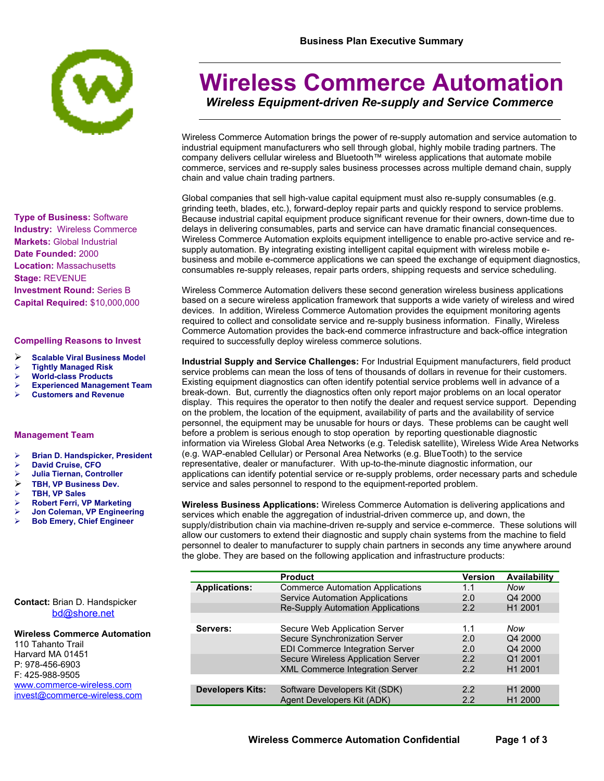

**Type of Business:** Software **Industry:** Wireless Commerce **Markets:** Global Industrial **Date Founded:** 2000 **Location:** Massachusetts **Stage:** REVENUE **Investment Round:** Series B **Capital Required:** \$10,000,000

## **Compelling Reasons to Invest**

- **Scalable Viral Business Model**
- **Tightly Managed Risk**
- **World-class Products**
- **Experienced Management Team**
- **Customers and Revenue**

### **Management Team**

- **Brian D. Handspicker, President**
- **David Cruise, CFO**
- **Julia Tiernan, Controller**
- **TBH, VP Business Dev.**
- **TBH, VP Sales**
- **Robert Ferri, VP Marketing**
- **Jon Coleman, VP Engineering**
- **Bob Emery, Chief Engineer**

## **Business Plan Executive Summary**

# **Wireless Commerce Automation**

*Wireless Equipment-driven Re-supply and Service Commerce*

Wireless Commerce Automation brings the power of re-supply automation and service automation to industrial equipment manufacturers who sell through global, highly mobile trading partners. The company delivers cellular wireless and Bluetooth™ wireless applications that automate mobile commerce, services and re-supply sales business processes across multiple demand chain, supply chain and value chain trading partners.

Global companies that sell high-value capital equipment must also re-supply consumables (e.g. grinding teeth, blades, etc.), forward-deploy repair parts and quickly respond to service problems. Because industrial capital equipment produce significant revenue for their owners, down-time due to delays in delivering consumables, parts and service can have dramatic financial consequences. Wireless Commerce Automation exploits equipment intelligence to enable pro-active service and resupply automation. By integrating existing intelligent capital equipment with wireless mobile ebusiness and mobile e-commerce applications we can speed the exchange of equipment diagnostics, consumables re-supply releases, repair parts orders, shipping requests and service scheduling.

Wireless Commerce Automation delivers these second generation wireless business applications based on a secure wireless application framework that supports a wide variety of wireless and wired devices. In addition, Wireless Commerce Automation provides the equipment monitoring agents required to collect and consolidate service and re-supply business information. Finally, Wireless Commerce Automation provides the back-end commerce infrastructure and back-office integration required to successfully deploy wireless commerce solutions.

**Industrial Supply and Service Challenges:** For Industrial Equipment manufacturers, field product service problems can mean the loss of tens of thousands of dollars in revenue for their customers. Existing equipment diagnostics can often identify potential service problems well in advance of a break-down. But, currently the diagnostics often only report major problems on an local operator display. This requires the operator to then notify the dealer and request service support. Depending on the problem, the location of the equipment, availability of parts and the availability of service personnel, the equipment may be unusable for hours or days. These problems can be caught well before a problem is serious enough to stop operation by reporting questionable diagnostic information via Wireless Global Area Networks (e.g. Teledisk satellite), Wireless Wide Area Networks (e.g. WAP-enabled Cellular) or Personal Area Networks (e.g. BlueTooth) to the service representative, dealer or manufacturer. With up-to-the-minute diagnostic information, our applications can identify potential service or re-supply problems, order necessary parts and schedule service and sales personnel to respond to the equipment-reported problem.

**Wireless Business Applications:** Wireless Commerce Automation is delivering applications and services which enable the aggregation of industrial-driven commerce up, and down, the supply/distribution chain via machine-driven re-supply and service e-commerce. These solutions will allow our customers to extend their diagnostic and supply chain systems from the machine to field personnel to dealer to manufacturer to supply chain partners in seconds any time anywhere around the globe. They are based on the following application and infrastructure products:

|                         | <b>Product</b>                           | <b>Version</b> | Availability        |
|-------------------------|------------------------------------------|----------------|---------------------|
| <b>Applications:</b>    | <b>Commerce Automation Applications</b>  | 1.1            | Now                 |
|                         | <b>Service Automation Applications</b>   | 2.0            | Q4 2000             |
|                         | <b>Re-Supply Automation Applications</b> | 2.2            | H1 2001             |
|                         |                                          |                |                     |
| Servers:                | Secure Web Application Server            | 1.1            | Now                 |
|                         | Secure Synchronization Server            | 2.0            | Q4 2000             |
|                         | <b>EDI Commerce Integration Server</b>   | 2.0            | Q4 2000             |
|                         | Secure Wireless Application Server       | 2.2            | Q1 2001             |
|                         | XML Commerce Integration Server          | 2.2            | H <sub>1</sub> 2001 |
|                         |                                          |                |                     |
| <b>Developers Kits:</b> | Software Developers Kit (SDK)            | 2.2            | H <sub>1</sub> 2000 |
|                         | Agent Developers Kit (ADK)               | 2.2            | H <sub>1</sub> 2000 |

**Contact:** Brian D. Handspicker [bd@shore.net](mailto:bd@shore.net)

## **Wireless Commerce Automation**

110 Tahanto Trail Harvard MA 01451 P: 978-456-6903 F: 425-988-9505 [www.commerce-wireless.com](http://www.commerce-wireless.com/) [invest@commerce-wireless.com](mailto:invest@commerce-wireless.com)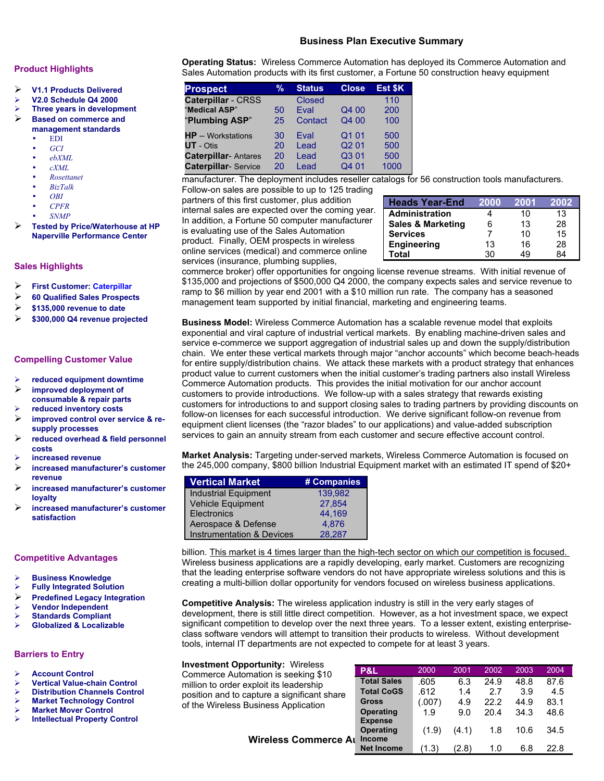## **Business Plan Executive Summary**

## **Product Highlights**

- **V1.1 Products Delivered**
- **V2.0 Schedule Q4 2000**
- **Three years in development**

#### **Based on commerce and management standards**

- EDI
- 
- *GCI* • *ebXML*
- $c$ *XML*
- *Rosettanet*
- *BizTalk*
- *OBI*
- *CPFR*
- *SNMP*
- 
- **Tested by Price/Waterhouse at HP Naperville Performance Center**

## **Sales Highlights**

- **First Customer: Caterpillar**
- **60 Qualified Sales Prospects**
- **\$135,000 revenue to date**
- **\$300,000 Q4 revenue projected**

## **Compelling Customer Value**

- **reduced equipment downtime**
- **improved deployment of consumable & repair parts**
- **reduced inventory costs**
- **improved control over service & resupply processes**
- **reduced overhead & field personnel costs**
- **increased revenue**
- **increased manufacturer's customer revenue**
- **increased manufacturer's customer loyalty**
- **increased manufacturer's customer satisfaction**

## **Competitive Advantages**

- **Business Knowledge**
- **Fully Integrated Solution**
- **Predefined Legacy Integration**
- **Vendor Independent**
- **Standards Compliant**
- **Globalized & Localizable**

## **Barriers to Entry**

- **Account Control**
- **Vertical Value-chain Control**
- **Distribution Channels Control Market Technology Control**
- **Market Mover Control**
- **Intellectual Property Control**

**Operating Status:** Wireless Commerce Automation has deployed its Commerce Automation and Sales Automation products with its first customer, a Fortune 50 construction heavy equipment

| <b>Prospect</b>            | %  | <b>Status</b> | <b>Close</b>      | Est \$K |
|----------------------------|----|---------------|-------------------|---------|
| Caterpillar - CRSS         |    | <b>Closed</b> |                   | 110     |
| "Medical ASP"              | 50 | <b>Fval</b>   | Q4 00             | 200     |
| "Plumbing ASP"             | 25 | Contact       | Q4 00             | 100     |
| $HP - Workstations$        | 30 | Eval          | Q1 01             | 500     |
| $UT - O$ tis               | 20 | Lead          | Q <sub>2</sub> 01 | 500     |
| <b>Caterpillar-Antares</b> | 20 | Lead          | Q301              | 500     |
| <b>Caterpillar-Service</b> | 20 | Lead          | Q4 01             | 1000    |

manufacturer. The deployment includes reseller catalogs for 56 construction tools manufacturers. Follow-on sales are possible to up to 125 trading

partners of this first customer, plus addition internal sales are expected over the coming year. In addition, a Fortune 50 computer manufacturer is evaluating use of the Sales Automation product. Finally, OEM prospects in wireless online services (medical) and commerce online services (insurance, plumbing supplies,

| <b>Heads Year-End</b>        | 2000 | 2001 | 2002 |
|------------------------------|------|------|------|
| <b>Administration</b>        |      | 10   | 13   |
| <b>Sales &amp; Marketing</b> | 6    | 13   | 28   |
| <b>Services</b>              |      | 10   | 15   |
| <b>Engineering</b>           | 13   | 16   | 28   |
| Total                        | 30   | 49   | 84   |

commerce broker) offer opportunities for ongoing license revenue streams. With initial revenue of \$135,000 and projections of \$500,000 Q4 2000, the company expects sales and service revenue to ramp to \$6 million by year end 2001 with a \$10 million run rate. The company has a seasoned management team supported by initial financial, marketing and engineering teams.

**Business Model:** Wireless Commerce Automation has a scalable revenue model that exploits exponential and viral capture of industrial vertical markets.By enabling machine-driven sales and service e-commerce we support aggregation of industrial sales up and down the supply/distribution chain. We enter these vertical markets through major "anchor accounts" which become beach-heads for entire supply/distribution chains. We attack these markets with a product strategy that enhances product value to current customers when the initial customer's trading partners also install Wireless Commerce Automation products. This provides the initial motivation for our anchor account customers to provide introductions. We follow-up with a sales strategy that rewards existing customers for introductions to and support closing sales to trading partners by providing discounts on follow-on licenses for each successful introduction. We derive significant follow-on revenue from equipment client licenses (the "razor blades" to our applications) and value-added subscription services to gain an annuity stream from each customer and secure effective account control.

**Market Analysis:** Targeting under-served markets, Wireless Commerce Automation is focused on the 245,000 company, \$800 billion Industrial Equipment market with an estimated IT spend of \$20+

| <b>Vertical Market</b>               | # Companies |
|--------------------------------------|-------------|
| <b>Industrial Equipment</b>          | 139.982     |
| Vehicle Equipment                    | 27.854      |
| <b>Electronics</b>                   | 44,169      |
| Aerospace & Defense                  | 4.876       |
| <b>Instrumentation &amp; Devices</b> | 28.287      |

billion. This market is 4 times larger than the high-tech sector on which our competition is focused. Wireless business applications are a rapidly developing, early market. Customers are recognizing that the leading enterprise software vendors do not have appropriate wireless solutions and this is creating a multi-billion dollar opportunity for vendors focused on wireless business applications.

**Competitive Analysis:** The wireless application industry is still in the very early stages of development, there is still little direct competition. However, as a hot investment space, we expect significant competition to develop over the next three years. To a lesser extent, existing enterpriseclass software vendors will attempt to transition their products to wireless. Without development tools, internal IT departments are not expected to compete for at least 3 years.

## **Investment Opportunity:** Wireless

Commerce Automation is seeking \$10 million to order exploit its leadership position and to capture a significant sh of the Wireless Business Application

|       | P&L                                | 2000   | 2001  | 2002 | 2003 | 2004 |
|-------|------------------------------------|--------|-------|------|------|------|
| iare  | <b>Total Sales</b>                 | .605   | 6.3   | 24.9 | 48.8 | 87.6 |
|       | <b>Total CoGS</b>                  | .612   | 1.4   | 2.7  | 3.9  | 4.5  |
|       | <b>Gross</b>                       | (.007) | 4.9   | 22.2 | 44.9 | 83.1 |
|       | <b>Operating</b>                   | 1.9    | 9.0   | 20.4 | 34.3 | 48.6 |
| ce Aı | <b>Expense</b><br><b>Operating</b> | (1.9)  | (4.1) | 1.8  | 10.6 | 34.5 |
|       | <b>Income</b><br><b>Net Income</b> | (1.3)  | (2.8) | 1.0  | 6.8  | 22.8 |

**Wireless Commer**